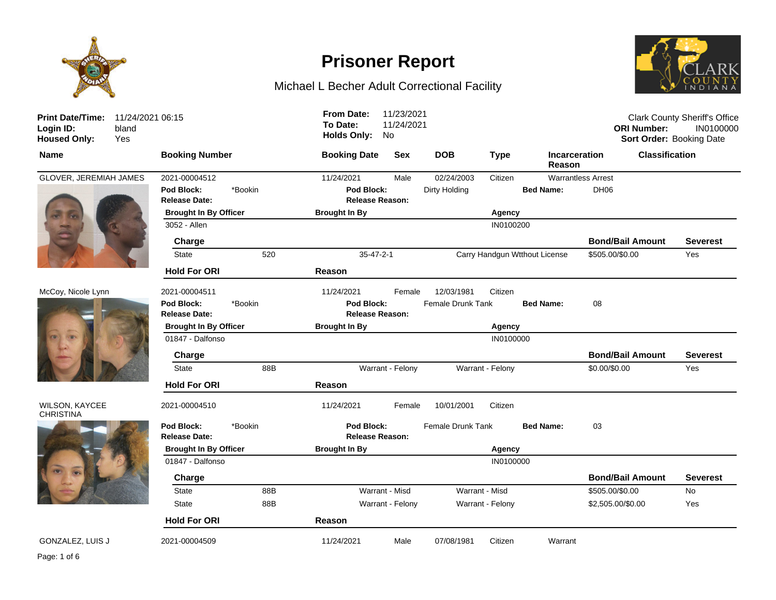

# **Prisoner Report**

## Michael L Becher Adult Correctional Facility



| <b>Print Date/Time:</b><br>Login ID:<br>bland<br><b>Housed Only:</b><br>Yes | 11/24/2021 06:15                              | 11/23/2021<br><b>From Date:</b><br>To Date:<br>11/24/2021<br><b>Holds Only:</b><br>No |                               |                                      | <b>Clark County Sheriff's Office</b><br><b>ORI Number:</b><br>IN0100000<br>Sort Order: Booking Date |
|-----------------------------------------------------------------------------|-----------------------------------------------|---------------------------------------------------------------------------------------|-------------------------------|--------------------------------------|-----------------------------------------------------------------------------------------------------|
| <b>Name</b>                                                                 | <b>Booking Number</b>                         | <b>Sex</b><br><b>Booking Date</b>                                                     | <b>DOB</b><br><b>Type</b>     | <b>Incarceration</b><br>Reason       | <b>Classification</b>                                                                               |
| GLOVER, JEREMIAH JAMES                                                      | 2021-00004512                                 | 11/24/2021<br>Male                                                                    | 02/24/2003<br>Citizen         | <b>Warrantless Arrest</b>            |                                                                                                     |
|                                                                             | *Bookin<br>Pod Block:<br><b>Release Date:</b> | Pod Block:<br><b>Release Reason:</b>                                                  | Dirty Holding                 | <b>Bed Name:</b><br>DH <sub>06</sub> |                                                                                                     |
|                                                                             | <b>Brought In By Officer</b>                  | <b>Brought In By</b>                                                                  | Agency                        |                                      |                                                                                                     |
|                                                                             | 3052 - Allen                                  |                                                                                       | IN0100200                     |                                      |                                                                                                     |
|                                                                             | Charge                                        |                                                                                       |                               |                                      | <b>Bond/Bail Amount</b><br>Severest                                                                 |
|                                                                             | 520<br><b>State</b>                           | $35 - 47 - 2 - 1$                                                                     | Carry Handgun Wtthout License |                                      | \$505.00/\$0.00<br>Yes                                                                              |
|                                                                             | <b>Hold For ORI</b>                           | Reason                                                                                |                               |                                      |                                                                                                     |
| McCoy, Nicole Lynn                                                          | 2021-00004511                                 | 11/24/2021<br>Female                                                                  | 12/03/1981<br>Citizen         |                                      |                                                                                                     |
|                                                                             | *Bookin<br>Pod Block:<br><b>Release Date:</b> | Pod Block:<br><b>Release Reason:</b>                                                  | Female Drunk Tank             | <b>Bed Name:</b><br>08               |                                                                                                     |
|                                                                             | <b>Brought In By Officer</b>                  | <b>Brought In By</b>                                                                  | Agency                        |                                      |                                                                                                     |
|                                                                             | 01847 - Dalfonso                              |                                                                                       | IN0100000                     |                                      |                                                                                                     |
|                                                                             | Charge                                        |                                                                                       |                               |                                      | <b>Bond/Bail Amount</b><br>Severest                                                                 |
|                                                                             | <b>State</b><br>88B                           | Warrant - Felony                                                                      | Warrant - Felony              |                                      | \$0.00/\$0.00<br>Yes                                                                                |
|                                                                             | <b>Hold For ORI</b>                           | Reason                                                                                |                               |                                      |                                                                                                     |
| <b>WILSON, KAYCEE</b><br><b>CHRISTINA</b>                                   | 2021-00004510                                 | 11/24/2021<br>Female                                                                  | 10/01/2001<br>Citizen         |                                      |                                                                                                     |
|                                                                             | Pod Block:<br>*Bookin<br>Release Date:        | Pod Block:<br>Release Reason:                                                         | <b>Female Drunk Tank</b>      | <b>Bed Name:</b><br>03               |                                                                                                     |
|                                                                             | <b>Brought In By Officer</b>                  | <b>Brought In By</b>                                                                  | Agency                        |                                      |                                                                                                     |
|                                                                             | 01847 - Dalfonso                              |                                                                                       | IN0100000                     |                                      |                                                                                                     |
|                                                                             | Charge                                        |                                                                                       |                               |                                      | <b>Bond/Bail Amount</b><br><b>Severest</b>                                                          |
|                                                                             | <b>State</b><br>88B                           | Warrant - Misd                                                                        | Warrant - Misd                |                                      | \$505.00/\$0.00<br><b>No</b>                                                                        |
|                                                                             | 88B<br><b>State</b>                           | Warrant - Felony                                                                      | Warrant - Felony              |                                      | \$2,505.00/\$0.00<br>Yes                                                                            |
|                                                                             | <b>Hold For ORI</b>                           | Reason                                                                                |                               |                                      |                                                                                                     |
| <b>GONZALEZ, LUIS J</b>                                                     | 2021-00004509                                 | 11/24/2021<br>Male                                                                    | 07/08/1981<br>Citizen         | Warrant                              |                                                                                                     |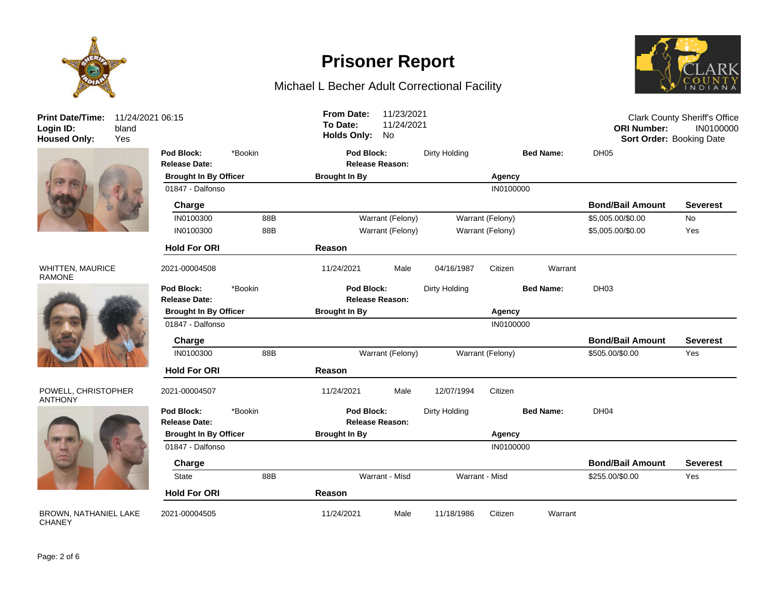



#### WHITTEN, MAURICE RAMONE



#### POWELL, CHRISTOPHER ANTHONY



BROWN, NATHANIEL LAKE **CHANEY** 

## **Prisoner Report**

### Michael L Becher Adult Correctional Facility



| <b>Print Date/Time:</b><br>Login ID:<br><b>Housed Only:</b> | 11/24/2021 06:15<br>bland<br>Yes |                                    |                      | To Date:             | <b>From Date:</b><br><b>Holds Only:</b> | 11/23/2021<br>11/24/2021<br>No |               |                  |                  | <b>ORI Number:</b><br>Sort Order: Booking Date | <b>Clark County Sheriff's Office</b><br>IN0100000 |
|-------------------------------------------------------------|----------------------------------|------------------------------------|----------------------|----------------------|-----------------------------------------|--------------------------------|---------------|------------------|------------------|------------------------------------------------|---------------------------------------------------|
|                                                             |                                  | Pod Block:<br><b>Release Date:</b> | *Bookin              |                      | Pod Block:<br><b>Release Reason:</b>    |                                | Dirty Holding |                  | <b>Bed Name:</b> | DH <sub>05</sub>                               |                                                   |
|                                                             |                                  | <b>Brought In By Officer</b>       |                      |                      | <b>Brought In By</b>                    |                                |               | Agency           |                  |                                                |                                                   |
|                                                             |                                  | 01847 - Dalfonso                   |                      |                      |                                         |                                |               | IN0100000        |                  |                                                |                                                   |
|                                                             |                                  | Charge                             |                      |                      |                                         |                                |               |                  |                  | <b>Bond/Bail Amount</b>                        | <b>Severest</b>                                   |
|                                                             |                                  | IN0100300                          | 88B                  |                      |                                         | Warrant (Felony)               |               | Warrant (Felony) |                  | \$5,005.00/\$0.00                              | No                                                |
|                                                             |                                  | IN0100300                          | 88B                  |                      | Warrant (Felony)                        |                                |               | Warrant (Felony) |                  | \$5,005.00/\$0.00                              | Yes                                               |
|                                                             |                                  | <b>Hold For ORI</b>                |                      | Reason               |                                         |                                |               |                  |                  |                                                |                                                   |
| WHITTEN, MAURICE<br>RAMONE                                  |                                  | 2021-00004508                      |                      | 11/24/2021           |                                         | Male                           | 04/16/1987    | Citizen          | Warrant          |                                                |                                                   |
|                                                             |                                  | Pod Block:<br><b>Release Date:</b> | *Bookin              |                      | Pod Block:<br><b>Release Reason:</b>    |                                | Dirty Holding |                  | <b>Bed Name:</b> | DH <sub>03</sub>                               |                                                   |
|                                                             |                                  | <b>Brought In By Officer</b>       | <b>Brought In By</b> |                      |                                         |                                | Agency        |                  |                  |                                                |                                                   |
|                                                             |                                  | 01847 - Dalfonso                   |                      | IN0100000            |                                         |                                |               |                  |                  |                                                |                                                   |
|                                                             |                                  | Charge                             |                      |                      |                                         |                                |               |                  |                  | <b>Bond/Bail Amount</b>                        | <b>Severest</b>                                   |
|                                                             |                                  | IN0100300                          | 88B                  |                      |                                         | Warrant (Felony)               |               | Warrant (Felony) |                  | \$505.00/\$0.00                                | Yes                                               |
|                                                             |                                  | <b>Hold For ORI</b>                |                      |                      | Reason                                  |                                |               |                  |                  |                                                |                                                   |
| POWELL, CHRISTOPHER<br><b>ANTHONY</b>                       |                                  | 2021-00004507                      |                      | 11/24/2021           |                                         | Male                           | 12/07/1994    | Citizen          |                  |                                                |                                                   |
|                                                             |                                  | Pod Block:<br>Release Date:        | *Bookin              |                      | Pod Block:<br><b>Release Reason:</b>    |                                | Dirty Holding |                  | <b>Bed Name:</b> | DH04                                           |                                                   |
|                                                             |                                  | <b>Brought In By Officer</b>       |                      | <b>Brought In By</b> |                                         |                                |               | Agency           |                  |                                                |                                                   |
|                                                             |                                  | 01847 - Dalfonso                   |                      |                      |                                         |                                |               | IN0100000        |                  |                                                |                                                   |
|                                                             |                                  | Charge                             |                      |                      |                                         |                                |               |                  |                  | <b>Bond/Bail Amount</b>                        | <b>Severest</b>                                   |
|                                                             |                                  | State                              | 88B                  |                      |                                         | Warrant - Misd                 |               | Warrant - Misd   |                  | \$255.00/\$0.00                                | Yes                                               |
|                                                             |                                  | <b>Hold For ORI</b>                |                      | Reason               |                                         |                                |               |                  |                  |                                                |                                                   |
| <b>BROWN. NATHANIEL LAKE</b>                                |                                  | 2021-00004505                      |                      | 11/24/2021           |                                         | Male                           | 11/18/1986    | Citizen          | Warrant          |                                                |                                                   |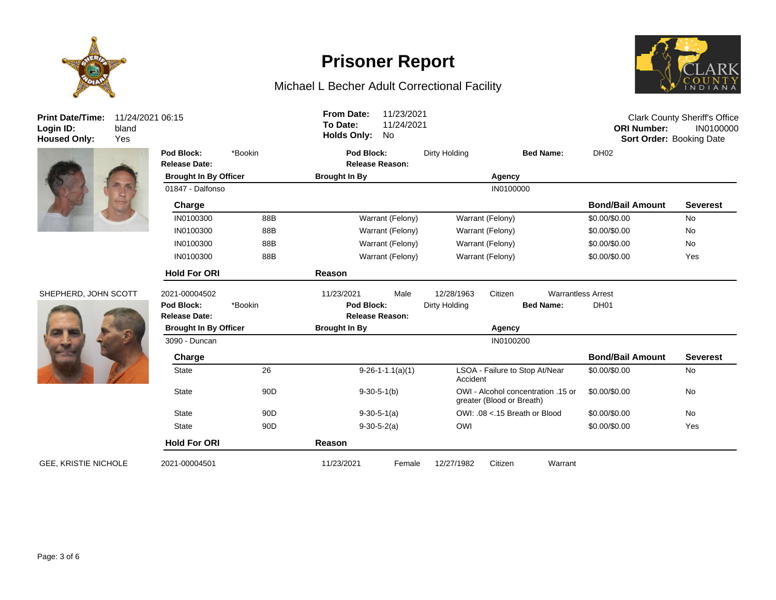

**Print Date/Time:** 11/24/2021 06:15 Login ID:<br>**Login ID:**<br>Housed Only: bland<br>Yes



### SHEPHERD, JOHN SCOT



**GEE, KRISTIE NICHOLE** 

## **Prisoner Report**

## Michael L Becher Adult Correctional Facility



| <b>Print Date/Time:</b><br>Login ID:<br><b>Housed Only:</b> | 11/24/2021 06:15<br>bland<br>Yes |                                    |                 | <b>From Date:</b><br>To Date:<br><b>Holds Only:</b> | 11/23/2021<br>11/24/2021<br>No                                                   |                  |                                      | <b>ORI Number:</b><br>Sort Order: Booking Date | <b>Clark County Sheriff's Office</b><br>IN0100000 |
|-------------------------------------------------------------|----------------------------------|------------------------------------|-----------------|-----------------------------------------------------|----------------------------------------------------------------------------------|------------------|--------------------------------------|------------------------------------------------|---------------------------------------------------|
|                                                             |                                  | Pod Block:<br>Release Date:        | *Bookin         | Pod Block:                                          | <b>Release Reason:</b>                                                           | Dirty Holding    | <b>Bed Name:</b>                     | DH <sub>02</sub>                               |                                                   |
|                                                             |                                  | <b>Brought In By Officer</b>       |                 | <b>Brought In By</b>                                |                                                                                  |                  | Agency                               |                                                |                                                   |
|                                                             |                                  | 01847 - Dalfonso                   |                 |                                                     |                                                                                  |                  | IN0100000                            |                                                |                                                   |
|                                                             |                                  | Charge                             |                 |                                                     |                                                                                  |                  |                                      | <b>Bond/Bail Amount</b>                        | <b>Severest</b>                                   |
|                                                             |                                  | IN0100300                          | 88B             |                                                     | Warrant (Felony)                                                                 | Warrant (Felony) |                                      | \$0.00/\$0.00                                  | No                                                |
|                                                             |                                  | IN0100300                          | 88B             |                                                     | Warrant (Felony)<br>Warrant (Felony)                                             |                  |                                      | \$0.00/\$0.00                                  | No                                                |
|                                                             |                                  | IN0100300                          | 88B             |                                                     | Warrant (Felony)<br>Warrant (Felony)                                             |                  |                                      | \$0.00/\$0.00                                  | No                                                |
|                                                             |                                  | IN0100300                          | 88B             |                                                     | Warrant (Felony)                                                                 |                  | Warrant (Felony)                     |                                                | Yes                                               |
|                                                             |                                  | <b>Hold For ORI</b>                |                 | Reason                                              |                                                                                  |                  |                                      |                                                |                                                   |
| SHEPHERD, JOHN SCOTT                                        |                                  | 2021-00004502                      |                 | 11/23/2021                                          | Male                                                                             | 12/28/1963       | Citizen<br><b>Warrantless Arrest</b> |                                                |                                                   |
|                                                             |                                  | Pod Block:<br><b>Release Date:</b> | *Bookin         |                                                     | Pod Block:<br><b>Release Reason:</b>                                             |                  | Dirty Holding<br><b>Bed Name:</b>    |                                                |                                                   |
|                                                             |                                  | <b>Brought In By Officer</b>       |                 | <b>Brought In By</b><br>Agency                      |                                                                                  |                  |                                      |                                                |                                                   |
|                                                             |                                  | 3090 - Duncan                      |                 |                                                     |                                                                                  |                  | IN0100200                            |                                                |                                                   |
|                                                             |                                  | Charge                             |                 |                                                     |                                                                                  |                  |                                      | <b>Bond/Bail Amount</b>                        | <b>Severest</b>                                   |
|                                                             |                                  | State                              | 26              |                                                     | $9-26-1-1.1(a)(1)$                                                               | Accident         | LSOA - Failure to Stop At/Near       | \$0.00/\$0.00                                  | No                                                |
|                                                             |                                  | State                              | 90 <sub>D</sub> |                                                     | OWI - Alcohol concentration .15 or<br>$9-30-5-1(b)$<br>greater (Blood or Breath) |                  |                                      | \$0.00/\$0.00                                  | No                                                |
|                                                             |                                  | <b>State</b><br>90 <sub>D</sub>    |                 |                                                     | OWI: .08 <.15 Breath or Blood<br>$9-30-5-1(a)$                                   |                  |                                      | \$0.00/\$0.00                                  | No                                                |
|                                                             |                                  | State                              | 90 <sub>D</sub> | $9-30-5-2(a)$                                       |                                                                                  | OWI              |                                      | \$0.00/\$0.00                                  | Yes                                               |
|                                                             |                                  | <b>Hold For ORI</b>                |                 | Reason                                              |                                                                                  |                  |                                      |                                                |                                                   |
| <b>GEE, KRISTIE NICHOLE</b>                                 |                                  | 2021-00004501                      |                 | 11/23/2021                                          | Female                                                                           | 12/27/1982       | Citizen<br>Warrant                   |                                                |                                                   |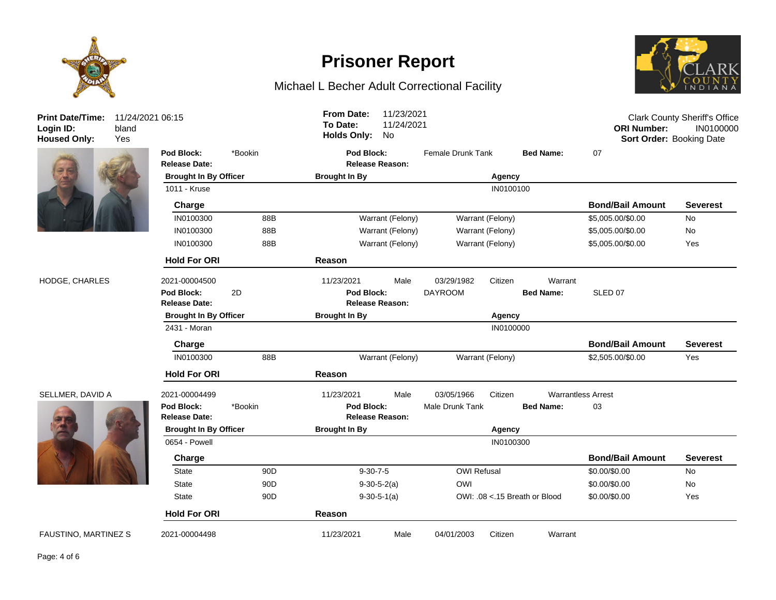



# **Prisoner Report**

## Michael L Becher Adult Correctional Facility



| <b>Print Date/Time:</b><br>Login ID:<br><b>Housed Only:</b> | 11/24/2021 06:15<br>bland<br>Yes |                                                     |                 | <b>From Date:</b><br>To Date:<br><b>Holds Only:</b> | 11/23/2021<br>11/24/2021<br>No |                               |                  |                                               | <b>ORI Number:</b><br>Sort Order: Booking Date | <b>Clark County Sheriff's Office</b><br>IN0100000 |
|-------------------------------------------------------------|----------------------------------|-----------------------------------------------------|-----------------|-----------------------------------------------------|--------------------------------|-------------------------------|------------------|-----------------------------------------------|------------------------------------------------|---------------------------------------------------|
|                                                             |                                  | Pod Block:<br>Release Date:                         | *Bookin         | Pod Block:                                          | <b>Release Reason:</b>         | <b>Female Drunk Tank</b>      |                  | <b>Bed Name:</b>                              | 07                                             |                                                   |
|                                                             |                                  | <b>Brought In By Officer</b>                        |                 | <b>Brought In By</b>                                |                                |                               | Agency           |                                               |                                                |                                                   |
|                                                             |                                  | 1011 - Kruse                                        |                 |                                                     |                                |                               | IN0100100        |                                               |                                                |                                                   |
|                                                             |                                  | Charge                                              |                 |                                                     |                                |                               |                  |                                               | <b>Bond/Bail Amount</b>                        | <b>Severest</b>                                   |
|                                                             |                                  | IN0100300                                           | 88B             |                                                     | Warrant (Felony)               |                               | Warrant (Felony) |                                               | \$5,005.00/\$0.00                              | No                                                |
|                                                             |                                  | IN0100300                                           | 88B             |                                                     | Warrant (Felony)               |                               | Warrant (Felony) |                                               | \$5,005.00/\$0.00                              | No                                                |
|                                                             |                                  | IN0100300                                           | 88B             |                                                     | Warrant (Felony)               | Warrant (Felony)              |                  |                                               | \$5,005.00/\$0.00                              | Yes                                               |
|                                                             |                                  | <b>Hold For ORI</b>                                 |                 | Reason                                              |                                |                               |                  |                                               |                                                |                                                   |
| HODGE, CHARLES                                              |                                  | 2021-00004500<br>Pod Block:<br><b>Release Date:</b> | 2D              | 11/23/2021<br>Pod Block:                            | Male<br><b>Release Reason:</b> | 03/29/1982<br><b>DAYROOM</b>  | Citizen          | Warrant<br><b>Bed Name:</b>                   | SLED 07                                        |                                                   |
|                                                             |                                  | <b>Brought In By Officer</b>                        |                 | <b>Brought In By</b>                                | Agency                         |                               |                  |                                               |                                                |                                                   |
|                                                             |                                  | 2431 - Moran                                        |                 |                                                     | IN0100000                      |                               |                  |                                               |                                                |                                                   |
|                                                             |                                  | Charge                                              |                 |                                                     |                                |                               |                  |                                               | <b>Bond/Bail Amount</b>                        | <b>Severest</b>                                   |
|                                                             |                                  | IN0100300                                           | 88B             |                                                     | Warrant (Felony)               |                               | Warrant (Felony) |                                               | \$2,505.00/\$0.00                              | Yes                                               |
|                                                             |                                  | <b>Hold For ORI</b>                                 |                 | Reason                                              |                                |                               |                  |                                               |                                                |                                                   |
| SELLMER, DAVID A                                            |                                  | 2021-00004499<br>Pod Block:<br><b>Release Date:</b> | *Bookin         | 11/23/2021<br>Pod Block:                            | Male<br><b>Release Reason:</b> | 03/05/1966<br>Male Drunk Tank | Citizen          | <b>Warrantless Arrest</b><br><b>Bed Name:</b> | 03                                             |                                                   |
|                                                             |                                  | <b>Brought In By Officer</b>                        |                 | <b>Brought In By</b>                                | Agency                         |                               |                  |                                               |                                                |                                                   |
|                                                             |                                  | 0654 - Powell                                       |                 |                                                     | IN0100300                      |                               |                  |                                               |                                                |                                                   |
|                                                             |                                  | Charge                                              |                 |                                                     |                                |                               |                  |                                               | <b>Bond/Bail Amount</b>                        | <b>Severest</b>                                   |
|                                                             |                                  | <b>State</b>                                        | 90 <sub>D</sub> | $9 - 30 - 7 - 5$                                    |                                | <b>OWI Refusal</b>            |                  |                                               | \$0.00/\$0.00                                  | No                                                |
|                                                             |                                  | <b>State</b>                                        | 90 <sub>D</sub> |                                                     | $9-30-5-2(a)$                  | OWI                           |                  |                                               | \$0.00/\$0.00                                  | <b>No</b>                                         |
|                                                             |                                  | <b>State</b>                                        | 90 <sub>D</sub> |                                                     | $9-30-5-1(a)$                  |                               |                  | OWI: .08 <.15 Breath or Blood                 | \$0.00/\$0.00                                  | Yes                                               |
|                                                             |                                  | <b>Hold For ORI</b>                                 |                 | Reason                                              |                                |                               |                  |                                               |                                                |                                                   |
| <b>FAUSTINO, MARTINEZ S</b>                                 |                                  | 2021-00004498                                       |                 | 11/23/2021                                          | Male                           | 04/01/2003                    | Citizen          | Warrant                                       |                                                |                                                   |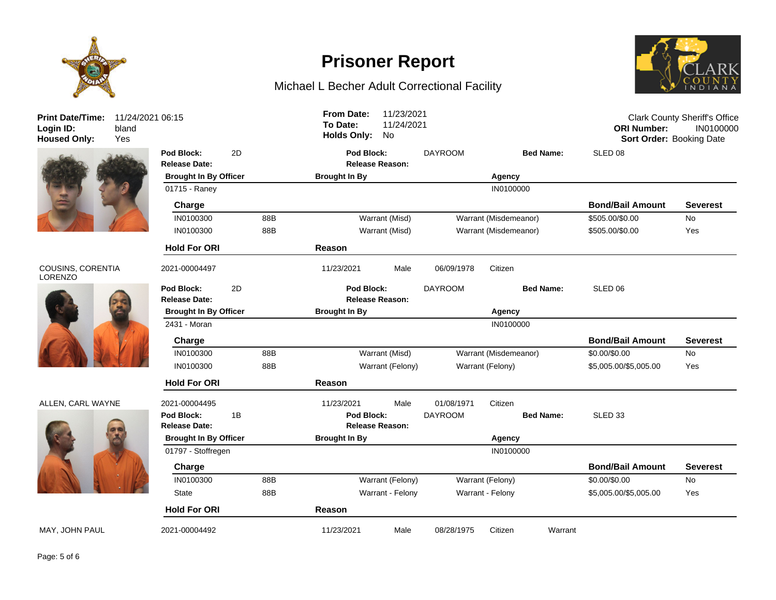



#### COUSINS, CORENTIA LORENZO



#### ALLEN, CARL WAYNE



## **Prisoner Report**

### Michael L Becher Adult Correctional Facility



| <b>Print Date/Time:</b><br>Login ID:<br><b>Housed Only:</b> | 11/24/2021 06:15<br>bland<br>Yes |                                    |    |     | <b>From Date:</b><br>To Date:<br><b>Holds Only:</b> | 11/23/2021<br>11/24/2021<br>No |                |                       |                  | <b>ORI Number:</b><br>Sort Order: Booking Date | <b>Clark County Sheriff's Office</b><br>IN0100000 |
|-------------------------------------------------------------|----------------------------------|------------------------------------|----|-----|-----------------------------------------------------|--------------------------------|----------------|-----------------------|------------------|------------------------------------------------|---------------------------------------------------|
|                                                             |                                  | Pod Block:<br><b>Release Date:</b> | 2D |     | <b>Pod Block:</b><br><b>Release Reason:</b>         |                                | <b>DAYROOM</b> |                       | <b>Bed Name:</b> | SLED 08                                        |                                                   |
|                                                             |                                  | <b>Brought In By Officer</b>       |    |     | <b>Brought In By</b>                                |                                |                | Agency                |                  |                                                |                                                   |
|                                                             |                                  | 01715 - Raney                      |    |     |                                                     |                                |                | IN0100000             |                  |                                                |                                                   |
|                                                             |                                  | Charge                             |    |     |                                                     |                                |                |                       |                  | <b>Bond/Bail Amount</b>                        | <b>Severest</b>                                   |
|                                                             |                                  | IN0100300                          |    | 88B |                                                     | Warrant (Misd)                 |                | Warrant (Misdemeanor) |                  | \$505.00/\$0.00                                | No                                                |
|                                                             |                                  | IN0100300                          |    | 88B |                                                     | Warrant (Misd)                 |                | Warrant (Misdemeanor) |                  | \$505.00/\$0.00                                | Yes                                               |
|                                                             |                                  | <b>Hold For ORI</b>                |    |     | Reason                                              |                                |                |                       |                  |                                                |                                                   |
| COUSINS, CORENTIA<br><b>LORENZO</b>                         |                                  | 2021-00004497                      |    |     | 11/23/2021                                          | Male                           | 06/09/1978     | Citizen               |                  |                                                |                                                   |
|                                                             |                                  | Pod Block:                         | 2D |     | Pod Block:                                          |                                | <b>DAYROOM</b> |                       | <b>Bed Name:</b> | SLED <sub>06</sub>                             |                                                   |
|                                                             |                                  | <b>Release Date:</b>               |    |     | <b>Release Reason:</b>                              |                                |                |                       |                  |                                                |                                                   |
|                                                             |                                  | <b>Brought In By Officer</b>       |    |     | <b>Brought In By</b>                                |                                |                | Agency                |                  |                                                |                                                   |
|                                                             |                                  | 2431 - Moran                       |    |     |                                                     |                                |                | IN0100000             |                  |                                                |                                                   |
|                                                             |                                  | Charge                             |    |     |                                                     |                                |                |                       |                  | <b>Bond/Bail Amount</b>                        | <b>Severest</b>                                   |
|                                                             |                                  | IN0100300                          |    | 88B |                                                     | Warrant (Misd)                 |                | Warrant (Misdemeanor) |                  | \$0.00/\$0.00                                  | No                                                |
|                                                             |                                  | IN0100300                          |    | 88B |                                                     | Warrant (Felony)               |                | Warrant (Felony)      |                  | \$5,005.00/\$5,005.00                          | Yes                                               |
|                                                             |                                  | <b>Hold For ORI</b>                |    |     | <b>Reason</b>                                       |                                |                |                       |                  |                                                |                                                   |
| ALLEN, CARL WAYNE                                           |                                  | 2021-00004495                      |    |     | 11/23/2021                                          | Male                           | 01/08/1971     | Citizen               |                  |                                                |                                                   |
|                                                             |                                  | Pod Block:                         | 1B |     | Pod Block:                                          |                                | <b>DAYROOM</b> |                       | <b>Bed Name:</b> | SLED <sub>33</sub>                             |                                                   |
|                                                             |                                  | <b>Release Date:</b>               |    |     |                                                     | <b>Release Reason:</b>         |                |                       |                  |                                                |                                                   |
|                                                             |                                  | <b>Brought In By Officer</b>       |    |     | <b>Brought In By</b>                                | Agency                         |                |                       |                  |                                                |                                                   |
|                                                             |                                  | 01797 - Stoffregen                 |    |     |                                                     |                                |                | IN0100000             |                  |                                                |                                                   |
|                                                             |                                  | Charge                             |    |     |                                                     |                                |                |                       |                  | <b>Bond/Bail Amount</b>                        | <b>Severest</b>                                   |
|                                                             |                                  | IN0100300                          |    | 88B |                                                     | Warrant (Felony)               |                | Warrant (Felony)      |                  | \$0.00/\$0.00                                  | No                                                |
|                                                             |                                  | State                              |    | 88B |                                                     | Warrant - Felony               |                | Warrant - Felony      |                  | \$5,005.00/\$5,005.00                          | Yes                                               |
|                                                             |                                  | <b>Hold For ORI</b>                |    |     | <b>Reason</b>                                       |                                |                |                       |                  |                                                |                                                   |
| MAY, JOHN PAUL                                              |                                  | 2021-00004492                      |    |     | 11/23/2021                                          | Male                           | 08/28/1975     | Citizen               | Warrant          |                                                |                                                   |